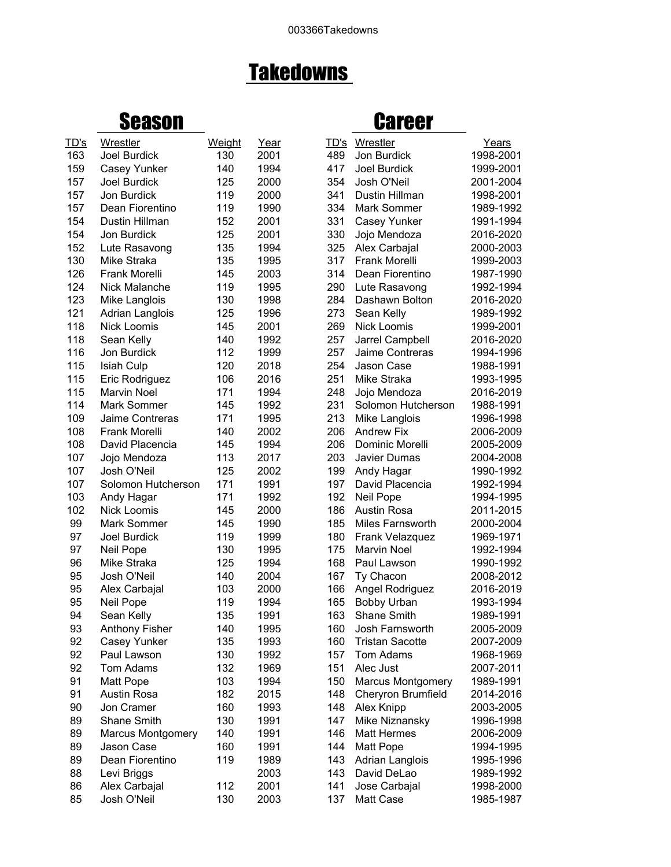## **Takedowns**

## Season Career

| TD's     | Wrestler                   | Weight | Year | TD's       | Wrestler                       | Years     |
|----------|----------------------------|--------|------|------------|--------------------------------|-----------|
| 163      | Joel Burdick               | 130    | 2001 | 489        | Jon Burdick                    | 1998-2001 |
| 159      | Casey Yunker               | 140    | 1994 | 417        | Joel Burdick                   | 1999-2001 |
| 157      | Joel Burdick               | 125    | 2000 | 354        | Josh O'Neil                    | 2001-2004 |
| 157      | Jon Burdick                | 119    | 2000 | 341        | Dustin Hillman                 | 1998-2001 |
| 157      | Dean Fiorentino            | 119    | 1990 | 334        | Mark Sommer                    | 1989-1992 |
| 154      | Dustin Hillman             | 152    | 2001 | 331        | Casey Yunker                   | 1991-1994 |
| 154      | Jon Burdick                | 125    | 2001 | 330        | Jojo Mendoza                   | 2016-2020 |
| 152      | Lute Rasavong              | 135    | 1994 | 325        | Alex Carbajal                  | 2000-2003 |
| 130      | Mike Straka                | 135    | 1995 | 317        | <b>Frank Morelli</b>           | 1999-2003 |
| 126      | Frank Morelli              | 145    | 2003 | 314        | Dean Fiorentino                | 1987-1990 |
| 124      | Nick Malanche              | 119    | 1995 | 290        | Lute Rasavong                  | 1992-1994 |
| 123      | Mike Langlois              | 130    | 1998 | 284        | Dashawn Bolton                 | 2016-2020 |
| 121      | Adrian Langlois            | 125    | 1996 | 273        | Sean Kelly                     | 1989-1992 |
| 118      | Nick Loomis                | 145    | 2001 | 269        | <b>Nick Loomis</b>             | 1999-2001 |
| 118      | Sean Kelly                 | 140    | 1992 | 257        | Jarrel Campbell                | 2016-2020 |
| 116      | Jon Burdick                | 112    | 1999 | 257        | Jaime Contreras                | 1994-1996 |
| 115      | <b>Isiah Culp</b>          | 120    | 2018 | 254        | Jason Case                     | 1988-1991 |
| 115      | Eric Rodriguez             | 106    | 2016 | 251        | Mike Straka                    | 1993-1995 |
| 115      | <b>Marvin Noel</b>         | 171    | 1994 | 248        | Jojo Mendoza                   | 2016-2019 |
| 114      | Mark Sommer                | 145    | 1992 | 231        | Solomon Hutcherson             | 1988-1991 |
| 109      | Jaime Contreras            | 171    | 1995 | 213        | Mike Langlois                  | 1996-1998 |
| 108      | <b>Frank Morelli</b>       | 140    | 2002 | 206        | <b>Andrew Fix</b>              | 2006-2009 |
| 108      | David Placencia            | 145    | 1994 | 206        | Dominic Morelli                | 2005-2009 |
| 107      | Jojo Mendoza               | 113    | 2017 | 203        | Javier Dumas                   | 2004-2008 |
| 107      | Josh O'Neil                | 125    | 2002 | 199        | Andy Hagar                     | 1990-1992 |
| 107      | Solomon Hutcherson         | 171    | 1991 | 197        | David Placencia                | 1992-1994 |
| 103      | Andy Hagar                 | 171    | 1992 | 192        | Neil Pope                      | 1994-1995 |
| 102      | <b>Nick Loomis</b>         | 145    | 2000 | 186        | Austin Rosa                    | 2011-2015 |
| 99       | Mark Sommer                | 145    | 1990 | 185        | Miles Farnsworth               | 2000-2004 |
| 97       | <b>Joel Burdick</b>        | 119    | 1999 | 180        | Frank Velazquez                | 1969-1971 |
| 97       | Neil Pope                  | 130    | 1995 | 175        | Marvin Noel                    | 1992-1994 |
| 96       | Mike Straka                | 125    | 1994 | 168        | Paul Lawson                    | 1990-1992 |
| 95       | Josh O'Neil                | 140    | 2004 | 167        | Ty Chacon                      | 2008-2012 |
| 95       |                            | 103    | 2000 | 166        |                                | 2016-2019 |
| 95       | Alex Carbajal<br>Neil Pope | 119    | 1994 | 165        | Angel Rodriguez<br>Bobby Urban | 1993-1994 |
| 94       | Sean Kelly                 | 135    | 1991 | 163        | <b>Shane Smith</b>             | 1989-1991 |
|          | <b>Anthony Fisher</b>      | 140    | 1995 | 160        | Josh Farnsworth                |           |
| 93<br>92 |                            | 135    |      |            |                                | 2005-2009 |
|          | Casey Yunker               | 130    | 1993 | 160<br>157 | <b>Tristan Sacotte</b>         | 2007-2009 |
| 92       | Paul Lawson                |        | 1992 |            | Tom Adams                      | 1968-1969 |
| 92       | Tom Adams                  | 132    | 1969 | 151        | Alec Just                      | 2007-2011 |
| 91       | Matt Pope                  | 103    | 1994 | 150        | <b>Marcus Montgomery</b>       | 1989-1991 |
| 91       | <b>Austin Rosa</b>         | 182    | 2015 | 148        | <b>Cheryron Brumfield</b>      | 2014-2016 |
| 90       | Jon Cramer                 | 160    | 1993 | 148        | Alex Knipp                     | 2003-2005 |
| 89       | Shane Smith                | 130    | 1991 | 147        | Mike Niznansky                 | 1996-1998 |
| 89       | <b>Marcus Montgomery</b>   | 140    | 1991 | 146        | <b>Matt Hermes</b>             | 2006-2009 |
| 89       | Jason Case                 | 160    | 1991 | 144        | Matt Pope                      | 1994-1995 |
| 89       | Dean Fiorentino            | 119    | 1989 | 143        | Adrian Langlois                | 1995-1996 |
| 88       | Levi Briggs                |        | 2003 | 143        | David DeLao                    | 1989-1992 |
| 86       | Alex Carbajal              | 112    | 2001 | 141        | Jose Carbajal                  | 1998-2000 |
| 85       | Josh O'Neil                | 130    | 2003 | 137        | Matt Case                      | 1985-1987 |